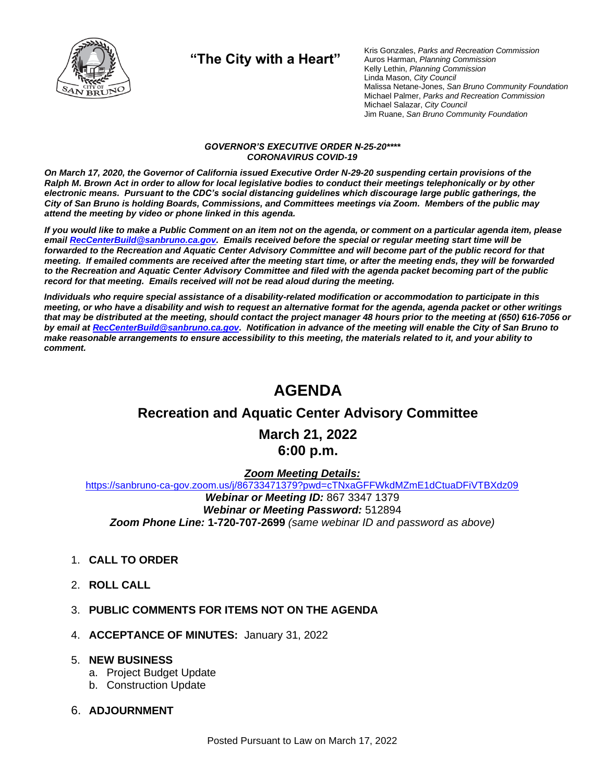

**"The City with a Heart"**

Kris Gonzales, *Parks and Recreation Commission* Auros Harman, *Planning Commission* Kelly Lethin, *Planning Commission* Linda Mason, *City Council* Malissa Netane-Jones, *San Bruno Community Foundation* Michael Palmer, *Parks and Recreation Commission* Michael Salazar, *City Council* Jim Ruane, *San Bruno Community Foundation*

#### *GOVERNOR'S EXECUTIVE ORDER N-25-20\*\*\*\* CORONAVIRUS COVID-19*

*On March 17, 2020, the Governor of California issued Executive Order N-29-20 suspending certain provisions of the Ralph M. Brown Act in order to allow for local legislative bodies to conduct their meetings telephonically or by other electronic means. Pursuant to the CDC's social distancing guidelines which discourage large public gatherings, the City of San Bruno is holding Boards, Commissions, and Committees meetings via Zoom. Members of the public may attend the meeting by video or phone linked in this agenda.*

*If you would like to make a Public Comment on an item not on the agenda, or comment on a particular agenda item, please emai[l RecCenterBuild@sanbruno.ca.gov.](mailto:RecCenterBuild@sanbruno.ca.gov) Emails received before the special or regular meeting start time will be forwarded to the Recreation and Aquatic Center Advisory Committee and will become part of the public record for that meeting. If emailed comments are received after the meeting start time, or after the meeting ends, they will be forwarded to the Recreation and Aquatic Center Advisory Committee and filed with the agenda packet becoming part of the public record for that meeting. Emails received will not be read aloud during the meeting.* 

*Individuals who require special assistance of a disability-related modification or accommodation to participate in this meeting, or who have a disability and wish to request an alternative format for the agenda, agenda packet or other writings that may be distributed at the meeting, should contact the project manager 48 hours prior to the meeting at (650) 616-7056 or by email a[t RecCenterBuild@sanbruno.ca.gov.](mailto:RecCenterBuild@sanbruno.ca.gov) Notification in advance of the meeting will enable the City of San Bruno to make reasonable arrangements to ensure accessibility to this meeting, the materials related to it, and your ability to comment.*

## **AGENDA**

### **Recreation and Aquatic Center Advisory Committee**

**March 21, 2022 6:00 p.m.**

#### *Zoom Meeting Details:*

[https://sanbruno-ca-gov.zoom.us/j/86733471379?pwd=cTNxaGFFWkdMZmE1dCtuaDFiVTBXdz09](https://sanbruno-ca-gov.zoom.us/j/86733471379?pwd=cTNxaGFFWkdMZmE1dCtuaDFiVTBXdz09%20) *Webinar or Meeting ID:* 867 3347 1379 *Webinar or Meeting Password:* 512894 *Zoom Phone Line:* **1-720-707-2699** *(same webinar ID and password as above)*

- 1. **CALL TO ORDER**
- 2. **ROLL CALL**
- 3. **PUBLIC COMMENTS FOR ITEMS NOT ON THE AGENDA**
- 4. **ACCEPTANCE OF MINUTES:** January 31, 2022

#### 5. **NEW BUSINESS**

- a. Project Budget Update
- b. Construction Update
- 6. **ADJOURNMENT**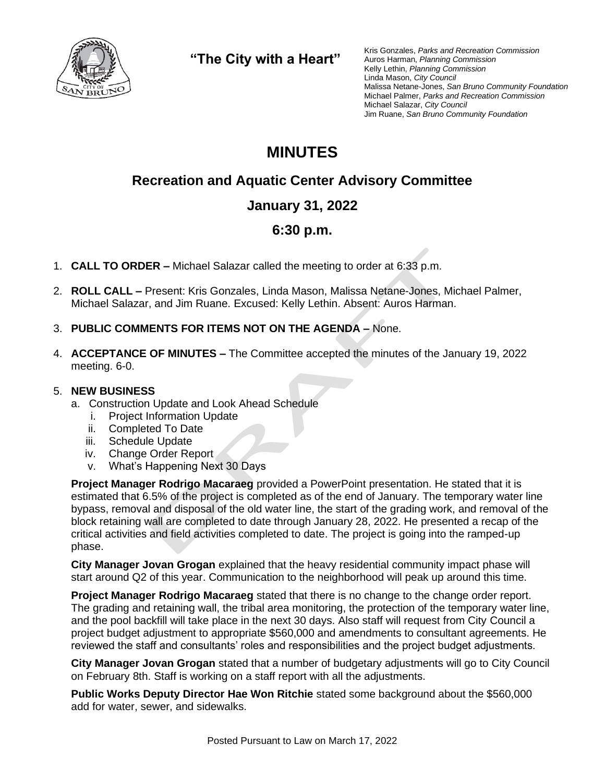

**"The City with a Heart"**

Kris Gonzales, *Parks and Recreation Commission* Auros Harman, *Planning Commission* Kelly Lethin, *Planning Commission* Linda Mason, *City Council* Malissa Netane-Jones, *San Bruno Community Foundation* Michael Palmer, *Parks and Recreation Commission* Michael Salazar, *City Council* Jim Ruane, *San Bruno Community Foundation*

# **MINUTES**

### **Recreation and Aquatic Center Advisory Committee**

### **January 31, 2022**

### **6:30 p.m.**

- 1. **CALL TO ORDER –** Michael Salazar called the meeting to order at 6:33 p.m.
- 2. **ROLL CALL –** Present: Kris Gonzales, Linda Mason, Malissa Netane-Jones, Michael Palmer, Michael Salazar, and Jim Ruane. Excused: Kelly Lethin. Absent: Auros Harman.
- 3. **PUBLIC COMMENTS FOR ITEMS NOT ON THE AGENDA –** None.
- 4. **ACCEPTANCE OF MINUTES –** The Committee accepted the minutes of the January 19, 2022 meeting. 6-0.

#### 5. **NEW BUSINESS**

- a. Construction Update and Look Ahead Schedule
	- i. Project Information Update
	- ii. Completed To Date
	- iii. Schedule Update
	- iv. Change Order Report
	- v. What's Happening Next 30 Days

**Project Manager Rodrigo Macaraeg** provided a PowerPoint presentation. He stated that it is estimated that 6.5% of the project is completed as of the end of January. The temporary water line bypass, removal and disposal of the old water line, the start of the grading work, and removal of the block retaining wall are completed to date through January 28, 2022. He presented a recap of the critical activities and field activities completed to date. The project is going into the ramped-up phase.

**City Manager Jovan Grogan** explained that the heavy residential community impact phase will start around Q2 of this year. Communication to the neighborhood will peak up around this time.

**Project Manager Rodrigo Macaraeg** stated that there is no change to the change order report. The grading and retaining wall, the tribal area monitoring, the protection of the temporary water line, and the pool backfill will take place in the next 30 days. Also staff will request from City Council a project budget adjustment to appropriate \$560,000 and amendments to consultant agreements. He reviewed the staff and consultants' roles and responsibilities and the project budget adjustments.

**City Manager Jovan Grogan** stated that a number of budgetary adjustments will go to City Council on February 8th. Staff is working on a staff report with all the adjustments.

**Public Works Deputy Director Hae Won Ritchie** stated some background about the \$560,000 add for water, sewer, and sidewalks.